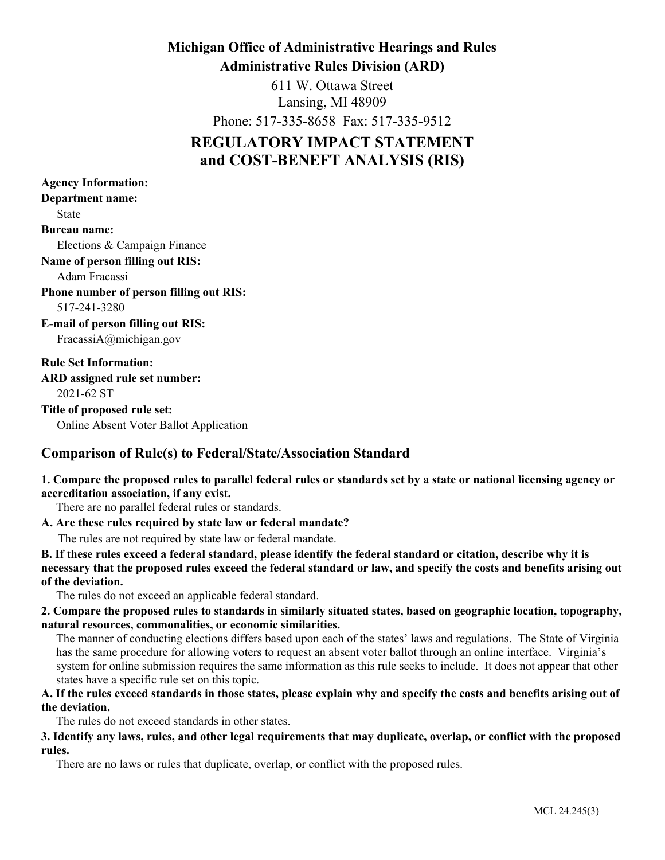## **Michigan Office of Administrative Hearings and Rules Administrative Rules Division (ARD)**

611 W. Ottawa Street Lansing, MI 48909

Phone: 517-335-8658 Fax: 517-335-9512

# **REGULATORY IMPACT STATEMENT and COST-BENEFT ANALYSIS (RIS)**

**Department name:** State **Bureau name:** Elections & Campaign Finance **ARD assigned rule set number:** 2021-62 ST **Title of proposed rule set:** Online Absent Voter Ballot Application **Name of person filling out RIS:** Adam Fracassi **Rule Set Information: Agency Information:** 517-241-3280 **Phone number of person filling out RIS: E-mail of person filling out RIS:** FracassiA@michigan.gov

## **Comparison of Rule(s) to Federal/State/Association Standard**

## **1. Compare the proposed rules to parallel federal rules or standards set by a state or national licensing agency or accreditation association, if any exist.**

There are no parallel federal rules or standards.

#### **A. Are these rules required by state law or federal mandate?**

The rules are not required by state law or federal mandate.

**B. If these rules exceed a federal standard, please identify the federal standard or citation, describe why it is necessary that the proposed rules exceed the federal standard or law, and specify the costs and benefits arising out of the deviation.**

The rules do not exceed an applicable federal standard.

**2. Compare the proposed rules to standards in similarly situated states, based on geographic location, topography, natural resources, commonalities, or economic similarities.**

The manner of conducting elections differs based upon each of the states' laws and regulations. The State of Virginia has the same procedure for allowing voters to request an absent voter ballot through an online interface. Virginia's system for online submission requires the same information as this rule seeks to include. It does not appear that other states have a specific rule set on this topic.

## **A. If the rules exceed standards in those states, please explain why and specify the costs and benefits arising out of the deviation.**

The rules do not exceed standards in other states.

#### **3. Identify any laws, rules, and other legal requirements that may duplicate, overlap, or conflict with the proposed rules.**

There are no laws or rules that duplicate, overlap, or conflict with the proposed rules.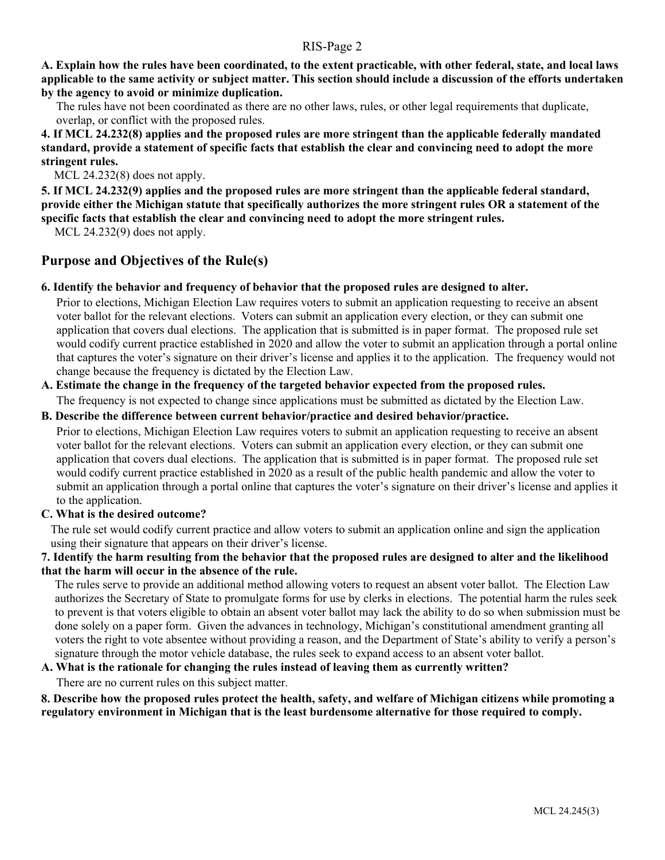**A. Explain how the rules have been coordinated, to the extent practicable, with other federal, state, and local laws applicable to the same activity or subject matter. This section should include a discussion of the efforts undertaken by the agency to avoid or minimize duplication.**

The rules have not been coordinated as there are no other laws, rules, or other legal requirements that duplicate, overlap, or conflict with the proposed rules.

**4. If MCL 24.232(8) applies and the proposed rules are more stringent than the applicable federally mandated standard, provide a statement of specific facts that establish the clear and convincing need to adopt the more stringent rules.**

MCL 24.232(8) does not apply.

**5. If MCL 24.232(9) applies and the proposed rules are more stringent than the applicable federal standard, provide either the Michigan statute that specifically authorizes the more stringent rules OR a statement of the specific facts that establish the clear and convincing need to adopt the more stringent rules.**

MCL 24.232(9) does not apply.

## **Purpose and Objectives of the Rule(s)**

#### **6. Identify the behavior and frequency of behavior that the proposed rules are designed to alter.**

Prior to elections, Michigan Election Law requires voters to submit an application requesting to receive an absent voter ballot for the relevant elections. Voters can submit an application every election, or they can submit one application that covers dual elections. The application that is submitted is in paper format. The proposed rule set would codify current practice established in 2020 and allow the voter to submit an application through a portal online that captures the voter's signature on their driver's license and applies it to the application. The frequency would not change because the frequency is dictated by the Election Law.

#### **A. Estimate the change in the frequency of the targeted behavior expected from the proposed rules.**

The frequency is not expected to change since applications must be submitted as dictated by the Election Law.

#### **B. Describe the difference between current behavior/practice and desired behavior/practice.**

Prior to elections, Michigan Election Law requires voters to submit an application requesting to receive an absent voter ballot for the relevant elections. Voters can submit an application every election, or they can submit one application that covers dual elections. The application that is submitted is in paper format. The proposed rule set would codify current practice established in 2020 as a result of the public health pandemic and allow the voter to submit an application through a portal online that captures the voter's signature on their driver's license and applies it to the application.

#### **C. What is the desired outcome?**

The rule set would codify current practice and allow voters to submit an application online and sign the application using their signature that appears on their driver's license.

#### **7. Identify the harm resulting from the behavior that the proposed rules are designed to alter and the likelihood that the harm will occur in the absence of the rule.**

The rules serve to provide an additional method allowing voters to request an absent voter ballot. The Election Law authorizes the Secretary of State to promulgate forms for use by clerks in elections. The potential harm the rules seek to prevent is that voters eligible to obtain an absent voter ballot may lack the ability to do so when submission must be done solely on a paper form. Given the advances in technology, Michigan's constitutional amendment granting all voters the right to vote absentee without providing a reason, and the Department of State's ability to verify a person's signature through the motor vehicle database, the rules seek to expand access to an absent voter ballot.

#### **A. What is the rationale for changing the rules instead of leaving them as currently written?**

There are no current rules on this subject matter.

**8. Describe how the proposed rules protect the health, safety, and welfare of Michigan citizens while promoting a regulatory environment in Michigan that is the least burdensome alternative for those required to comply.**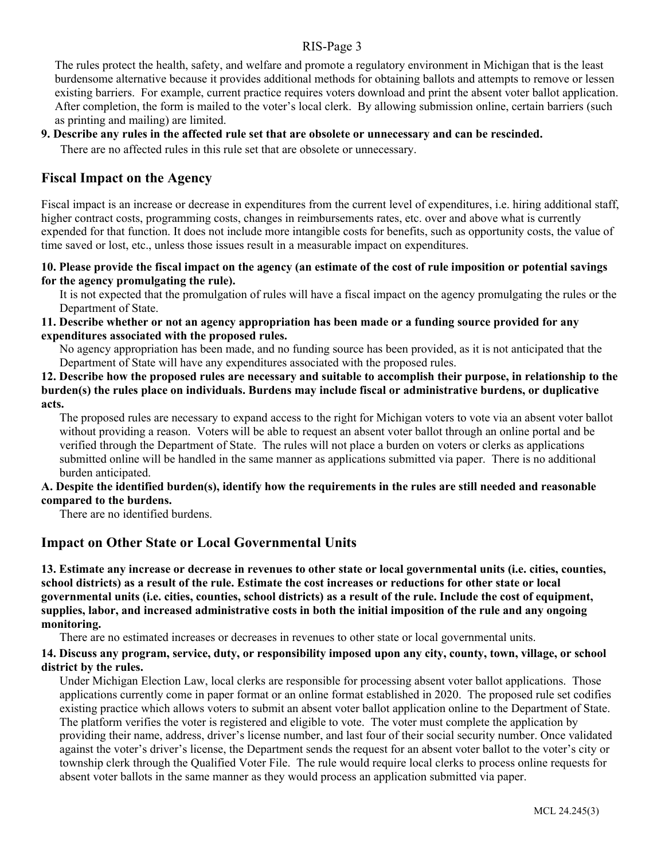The rules protect the health, safety, and welfare and promote a regulatory environment in Michigan that is the least burdensome alternative because it provides additional methods for obtaining ballots and attempts to remove or lessen existing barriers. For example, current practice requires voters download and print the absent voter ballot application. After completion, the form is mailed to the voter's local clerk. By allowing submission online, certain barriers (such as printing and mailing) are limited.

#### **9. Describe any rules in the affected rule set that are obsolete or unnecessary and can be rescinded.**

There are no affected rules in this rule set that are obsolete or unnecessary.

## **Fiscal Impact on the Agency**

Fiscal impact is an increase or decrease in expenditures from the current level of expenditures, i.e. hiring additional staff, higher contract costs, programming costs, changes in reimbursements rates, etc. over and above what is currently expended for that function. It does not include more intangible costs for benefits, such as opportunity costs, the value of time saved or lost, etc., unless those issues result in a measurable impact on expenditures.

#### **10. Please provide the fiscal impact on the agency (an estimate of the cost of rule imposition or potential savings for the agency promulgating the rule).**

It is not expected that the promulgation of rules will have a fiscal impact on the agency promulgating the rules or the Department of State.

#### **11. Describe whether or not an agency appropriation has been made or a funding source provided for any expenditures associated with the proposed rules.**

No agency appropriation has been made, and no funding source has been provided, as it is not anticipated that the Department of State will have any expenditures associated with the proposed rules.

**12. Describe how the proposed rules are necessary and suitable to accomplish their purpose, in relationship to the burden(s) the rules place on individuals. Burdens may include fiscal or administrative burdens, or duplicative acts.**

The proposed rules are necessary to expand access to the right for Michigan voters to vote via an absent voter ballot without providing a reason. Voters will be able to request an absent voter ballot through an online portal and be verified through the Department of State. The rules will not place a burden on voters or clerks as applications submitted online will be handled in the same manner as applications submitted via paper. There is no additional burden anticipated.

#### **A. Despite the identified burden(s), identify how the requirements in the rules are still needed and reasonable compared to the burdens.**

There are no identified burdens.

## **Impact on Other State or Local Governmental Units**

**13. Estimate any increase or decrease in revenues to other state or local governmental units (i.e. cities, counties, school districts) as a result of the rule. Estimate the cost increases or reductions for other state or local governmental units (i.e. cities, counties, school districts) as a result of the rule. Include the cost of equipment, supplies, labor, and increased administrative costs in both the initial imposition of the rule and any ongoing monitoring.**

There are no estimated increases or decreases in revenues to other state or local governmental units.

#### **14. Discuss any program, service, duty, or responsibility imposed upon any city, county, town, village, or school district by the rules.**

Under Michigan Election Law, local clerks are responsible for processing absent voter ballot applications. Those applications currently come in paper format or an online format established in 2020. The proposed rule set codifies existing practice which allows voters to submit an absent voter ballot application online to the Department of State. The platform verifies the voter is registered and eligible to vote. The voter must complete the application by providing their name, address, driver's license number, and last four of their social security number. Once validated against the voter's driver's license, the Department sends the request for an absent voter ballot to the voter's city or township clerk through the Qualified Voter File. The rule would require local clerks to process online requests for absent voter ballots in the same manner as they would process an application submitted via paper.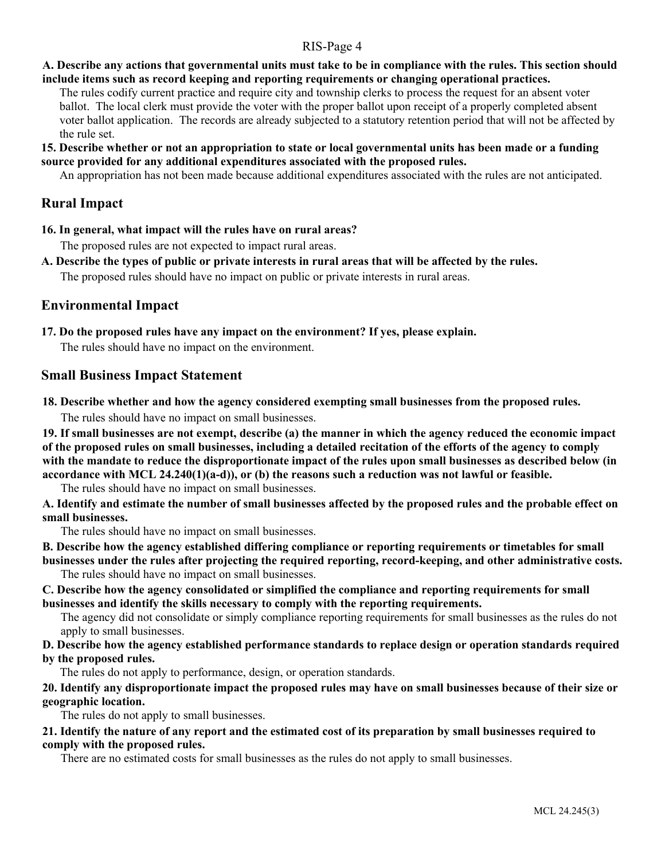## **A. Describe any actions that governmental units must take to be in compliance with the rules. This section should include items such as record keeping and reporting requirements or changing operational practices.**

The rules codify current practice and require city and township clerks to process the request for an absent voter ballot. The local clerk must provide the voter with the proper ballot upon receipt of a properly completed absent voter ballot application. The records are already subjected to a statutory retention period that will not be affected by the rule set.

#### **15. Describe whether or not an appropriation to state or local governmental units has been made or a funding source provided for any additional expenditures associated with the proposed rules.**

An appropriation has not been made because additional expenditures associated with the rules are not anticipated.

## **Rural Impact**

**16. In general, what impact will the rules have on rural areas?**

The proposed rules are not expected to impact rural areas.

**A. Describe the types of public or private interests in rural areas that will be affected by the rules.**

The proposed rules should have no impact on public or private interests in rural areas.

## **Environmental Impact**

**17. Do the proposed rules have any impact on the environment? If yes, please explain.** 

The rules should have no impact on the environment.

## **Small Business Impact Statement**

**18. Describe whether and how the agency considered exempting small businesses from the proposed rules.**

The rules should have no impact on small businesses.

**19. If small businesses are not exempt, describe (a) the manner in which the agency reduced the economic impact of the proposed rules on small businesses, including a detailed recitation of the efforts of the agency to comply with the mandate to reduce the disproportionate impact of the rules upon small businesses as described below (in accordance with MCL 24.240(1)(a-d)), or (b) the reasons such a reduction was not lawful or feasible.**

The rules should have no impact on small businesses.

**A. Identify and estimate the number of small businesses affected by the proposed rules and the probable effect on small businesses.**

The rules should have no impact on small businesses.

**B. Describe how the agency established differing compliance or reporting requirements or timetables for small** 

**businesses under the rules after projecting the required reporting, record-keeping, and other administrative costs.** The rules should have no impact on small businesses.

**C. Describe how the agency consolidated or simplified the compliance and reporting requirements for small businesses and identify the skills necessary to comply with the reporting requirements.** 

The agency did not consolidate or simply compliance reporting requirements for small businesses as the rules do not apply to small businesses.

#### **D. Describe how the agency established performance standards to replace design or operation standards required by the proposed rules.**

The rules do not apply to performance, design, or operation standards.

## **20. Identify any disproportionate impact the proposed rules may have on small businesses because of their size or geographic location.**

The rules do not apply to small businesses.

#### **21. Identify the nature of any report and the estimated cost of its preparation by small businesses required to comply with the proposed rules.**

There are no estimated costs for small businesses as the rules do not apply to small businesses.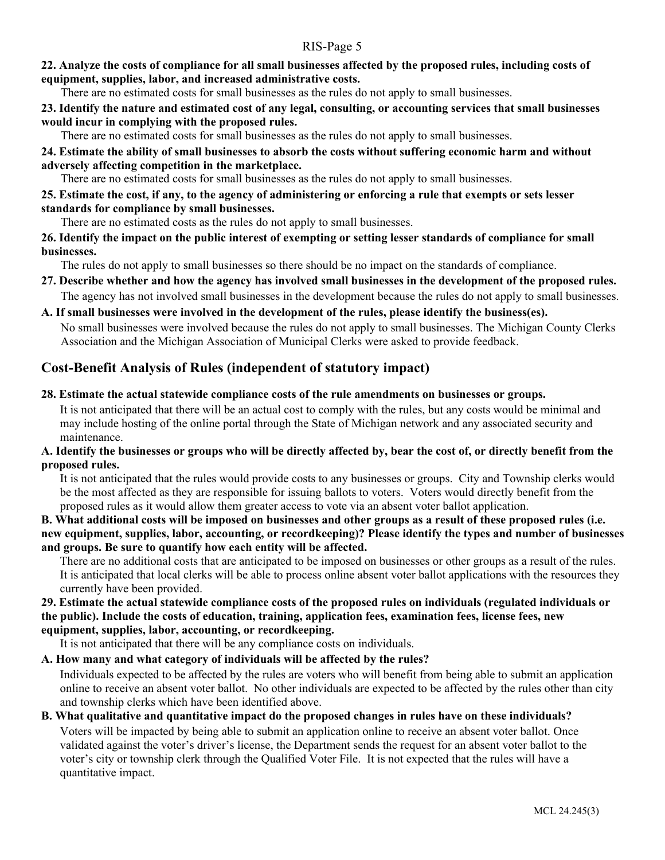#### **22. Analyze the costs of compliance for all small businesses affected by the proposed rules, including costs of equipment, supplies, labor, and increased administrative costs.**

There are no estimated costs for small businesses as the rules do not apply to small businesses.

**23. Identify the nature and estimated cost of any legal, consulting, or accounting services that small businesses would incur in complying with the proposed rules.**

There are no estimated costs for small businesses as the rules do not apply to small businesses.

## **24. Estimate the ability of small businesses to absorb the costs without suffering economic harm and without adversely affecting competition in the marketplace.**

There are no estimated costs for small businesses as the rules do not apply to small businesses.

## **25. Estimate the cost, if any, to the agency of administering or enforcing a rule that exempts or sets lesser standards for compliance by small businesses.**

There are no estimated costs as the rules do not apply to small businesses.

#### **26. Identify the impact on the public interest of exempting or setting lesser standards of compliance for small businesses.**

The rules do not apply to small businesses so there should be no impact on the standards of compliance.

## **27. Describe whether and how the agency has involved small businesses in the development of the proposed rules.** The agency has not involved small businesses in the development because the rules do not apply to small businesses.

## **A. If small businesses were involved in the development of the rules, please identify the business(es).**

No small businesses were involved because the rules do not apply to small businesses. The Michigan County Clerks Association and the Michigan Association of Municipal Clerks were asked to provide feedback.

## **Cost-Benefit Analysis of Rules (independent of statutory impact)**

#### **28. Estimate the actual statewide compliance costs of the rule amendments on businesses or groups.**

It is not anticipated that there will be an actual cost to comply with the rules, but any costs would be minimal and may include hosting of the online portal through the State of Michigan network and any associated security and maintenance.

## **A. Identify the businesses or groups who will be directly affected by, bear the cost of, or directly benefit from the proposed rules.**

It is not anticipated that the rules would provide costs to any businesses or groups. City and Township clerks would be the most affected as they are responsible for issuing ballots to voters. Voters would directly benefit from the proposed rules as it would allow them greater access to vote via an absent voter ballot application.

**B. What additional costs will be imposed on businesses and other groups as a result of these proposed rules (i.e. new equipment, supplies, labor, accounting, or recordkeeping)? Please identify the types and number of businesses and groups. Be sure to quantify how each entity will be affected.**

There are no additional costs that are anticipated to be imposed on businesses or other groups as a result of the rules. It is anticipated that local clerks will be able to process online absent voter ballot applications with the resources they currently have been provided.

#### **29. Estimate the actual statewide compliance costs of the proposed rules on individuals (regulated individuals or the public). Include the costs of education, training, application fees, examination fees, license fees, new equipment, supplies, labor, accounting, or recordkeeping.**

It is not anticipated that there will be any compliance costs on individuals.

## **A. How many and what category of individuals will be affected by the rules?**

Individuals expected to be affected by the rules are voters who will benefit from being able to submit an application online to receive an absent voter ballot. No other individuals are expected to be affected by the rules other than city and township clerks which have been identified above.

# **B. What qualitative and quantitative impact do the proposed changes in rules have on these individuals?**

Voters will be impacted by being able to submit an application online to receive an absent voter ballot. Once validated against the voter's driver's license, the Department sends the request for an absent voter ballot to the voter's city or township clerk through the Qualified Voter File. It is not expected that the rules will have a quantitative impact.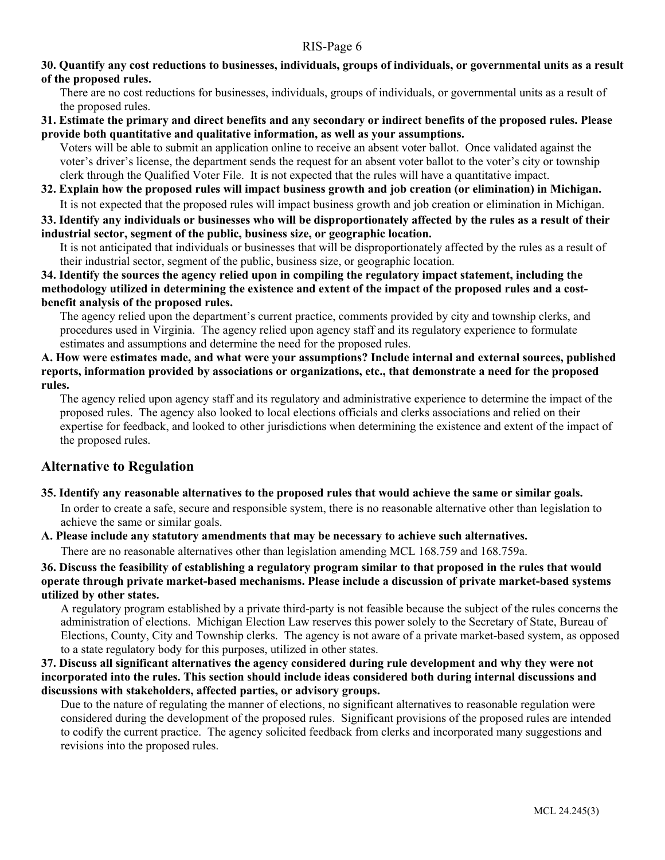#### **30. Quantify any cost reductions to businesses, individuals, groups of individuals, or governmental units as a result of the proposed rules.**

There are no cost reductions for businesses, individuals, groups of individuals, or governmental units as a result of the proposed rules.

#### **31. Estimate the primary and direct benefits and any secondary or indirect benefits of the proposed rules. Please provide both quantitative and qualitative information, as well as your assumptions.**

Voters will be able to submit an application online to receive an absent voter ballot. Once validated against the voter's driver's license, the department sends the request for an absent voter ballot to the voter's city or township clerk through the Qualified Voter File. It is not expected that the rules will have a quantitative impact.

## **32. Explain how the proposed rules will impact business growth and job creation (or elimination) in Michigan.** It is not expected that the proposed rules will impact business growth and job creation or elimination in Michigan.

**33. Identify any individuals or businesses who will be disproportionately affected by the rules as a result of their industrial sector, segment of the public, business size, or geographic location.**

It is not anticipated that individuals or businesses that will be disproportionately affected by the rules as a result of their industrial sector, segment of the public, business size, or geographic location.

**34. Identify the sources the agency relied upon in compiling the regulatory impact statement, including the methodology utilized in determining the existence and extent of the impact of the proposed rules and a costbenefit analysis of the proposed rules.**

The agency relied upon the department's current practice, comments provided by city and township clerks, and procedures used in Virginia. The agency relied upon agency staff and its regulatory experience to formulate estimates and assumptions and determine the need for the proposed rules.

#### **A. How were estimates made, and what were your assumptions? Include internal and external sources, published reports, information provided by associations or organizations, etc., that demonstrate a need for the proposed rules.**

The agency relied upon agency staff and its regulatory and administrative experience to determine the impact of the proposed rules. The agency also looked to local elections officials and clerks associations and relied on their expertise for feedback, and looked to other jurisdictions when determining the existence and extent of the impact of the proposed rules.

## **Alternative to Regulation**

#### **35. Identify any reasonable alternatives to the proposed rules that would achieve the same or similar goals.** In order to create a safe, secure and responsible system, there is no reasonable alternative other than legislation to achieve the same or similar goals.

**A. Please include any statutory amendments that may be necessary to achieve such alternatives.** 

There are no reasonable alternatives other than legislation amending MCL 168.759 and 168.759a.

**36. Discuss the feasibility of establishing a regulatory program similar to that proposed in the rules that would operate through private market-based mechanisms. Please include a discussion of private market-based systems utilized by other states.**

A regulatory program established by a private third-party is not feasible because the subject of the rules concerns the administration of elections. Michigan Election Law reserves this power solely to the Secretary of State, Bureau of Elections, County, City and Township clerks. The agency is not aware of a private market-based system, as opposed to a state regulatory body for this purposes, utilized in other states.

#### **37. Discuss all significant alternatives the agency considered during rule development and why they were not incorporated into the rules. This section should include ideas considered both during internal discussions and discussions with stakeholders, affected parties, or advisory groups.**

Due to the nature of regulating the manner of elections, no significant alternatives to reasonable regulation were considered during the development of the proposed rules. Significant provisions of the proposed rules are intended to codify the current practice. The agency solicited feedback from clerks and incorporated many suggestions and revisions into the proposed rules.